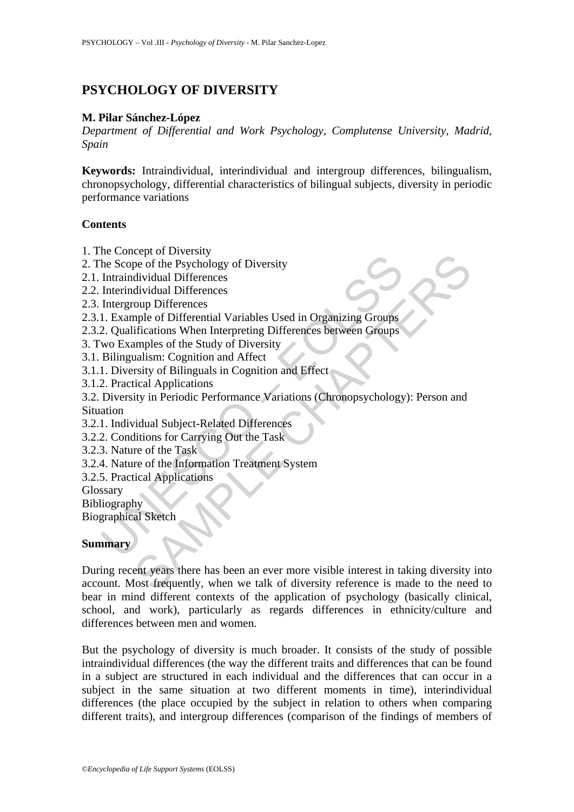# **PSYCHOLOGY OF DIVERSITY**

# **M. Pilar Sánchez-López**

*Department of Differential and Work Psychology, Complutense University, Madrid, Spain* 

**Keywords:** Intraindividual, interindividual and intergroup differences, bilingualism, chronopsychology, differential characteristics of bilingual subjects, diversity in periodic performance variations

#### **Contents**

- 1. The Concept of Diversity
- 2. The Scope of the Psychology of Diversity
- 2.1. Intraindividual Differences
- 2.2. Interindividual Differences
- 2.3. Intergroup Differences
- 2.3.1. Example of Differential Variables Used in Organizing Groups
- 2.3.2. Qualifications When Interpreting Differences between Groups
- 3. Two Examples of the Study of Diversity
- 3.1. Bilingualism: Cognition and Affect
- 3.1.1. Diversity of Bilinguals in Cognition and Effect
- 3.1.2. Practical Applications
- Incometrical Schemes<br>
En Scope of the Psychology of Diversity<br>
Intraindividual Differences<br>
Interproup Differences<br>
Interproup Differences<br>
Interproup Differences<br>
2. Qualifications When Interpreting Differences between Gr 3.2. Diversity in Periodic Performance Variations (Chronopsychology): Person and
- Situation
- 3.2.1. Individual Subject-Related Differences
- 3.2.2. Conditions for Carrying Out the Task
- 3.2.3. Nature of the Task
- 3.2.4. Nature of the Information Treatment System
- 3.2.5. Practical Applications
- Glossary
- Bibliography

Biographical Sketch

# **Summary**

Even trucks and Differences<br>pe of the Psychology of Diversity<br>dividual Differences<br>dividual Differences<br>inples of the Study of Diversity<br>fications When Interpreting Differences between Groups<br>ifications When Interpreting D During recent years there has been an ever more visible interest in taking diversity into account. Most frequently, when we talk of diversity reference is made to the need to bear in mind different contexts of the application of psychology (basically clinical, school, and work), particularly as regards differences in ethnicity/culture and differences between men and women.

But the psychology of diversity is much broader. It consists of the study of possible intraindividual differences (the way the different traits and differences that can be found in a subject are structured in each individual and the differences that can occur in a subject in the same situation at two different moments in time), interindividual differences (the place occupied by the subject in relation to others when comparing different traits), and intergroup differences (comparison of the findings of members of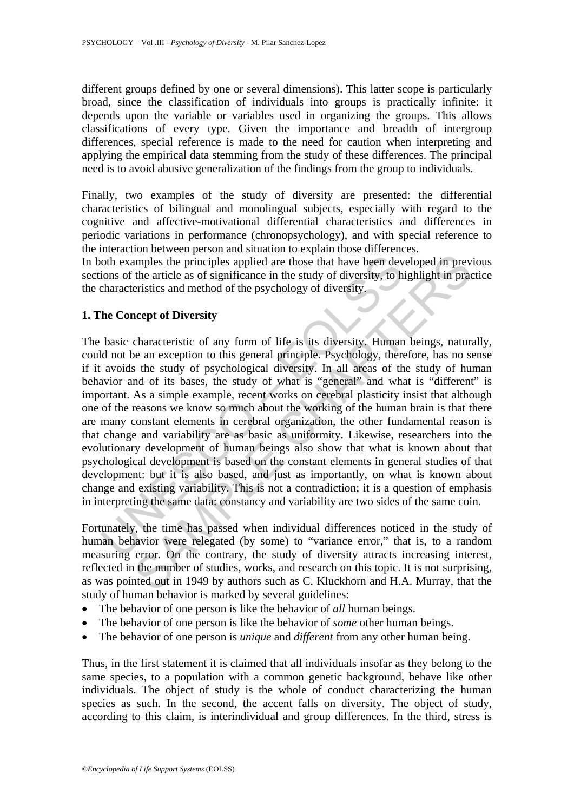different groups defined by one or several dimensions). This latter scope is particularly broad, since the classification of individuals into groups is practically infinite: it depends upon the variable or variables used in organizing the groups. This allows classifications of every type. Given the importance and breadth of intergroup differences, special reference is made to the need for caution when interpreting and applying the empirical data stemming from the study of these differences. The principal need is to avoid abusive generalization of the findings from the group to individuals.

Finally, two examples of the study of diversity are presented: the differential characteristics of bilingual and monolingual subjects, especially with regard to the cognitive and affective-motivational differential characteristics and differences in periodic variations in performance (chronopsychology), and with special reference to the interaction between person and situation to explain those differences.

In both examples the principles applied are those that have been developed in previous sections of the article as of significance in the study of diversity, to highlight in practice the characteristics and method of the psychology of diversity.

# **1. The Concept of Diversity**

oth examples the principles applied are those that have been dev<br>
ons of the article as of significance in the study of diversity, to h<br>
characteristics and method of the psychology of diversity.<br>
The **Concept of Diversity** imples the principles applied are those that have been developed in prev<br>mples the principles applied are those that have been developed in prev<br>the article as of significance in the study of diversity, to highlight in pra The basic characteristic of any form of life is its diversity. Human beings, naturally, could not be an exception to this general principle. Psychology, therefore, has no sense if it avoids the study of psychological diversity. In all areas of the study of human behavior and of its bases, the study of what is "general" and what is "different" is important. As a simple example, recent works on cerebral plasticity insist that although one of the reasons we know so much about the working of the human brain is that there are many constant elements in cerebral organization, the other fundamental reason is that change and variability are as basic as uniformity. Likewise, researchers into the evolutionary development of human beings also show that what is known about that psychological development is based on the constant elements in general studies of that development: but it is also based, and just as importantly, on what is known about change and existing variability. This is not a contradiction; it is a question of emphasis in interpreting the same data: constancy and variability are two sides of the same coin.

Fortunately, the time has passed when individual differences noticed in the study of human behavior were relegated (by some) to "variance error," that is, to a random measuring error. On the contrary, the study of diversity attracts increasing interest, reflected in the number of studies, works, and research on this topic. It is not surprising, as was pointed out in 1949 by authors such as C. Kluckhorn and H.A. Murray, that the study of human behavior is marked by several guidelines:

- The behavior of one person is like the behavior of *all* human beings.
- The behavior of one person is like the behavior of *some* other human beings.
- The behavior of one person is *unique* and *different* from any other human being.

Thus, in the first statement it is claimed that all individuals insofar as they belong to the same species, to a population with a common genetic background, behave like other individuals. The object of study is the whole of conduct characterizing the human species as such. In the second, the accent falls on diversity. The object of study, according to this claim, is interindividual and group differences. In the third, stress is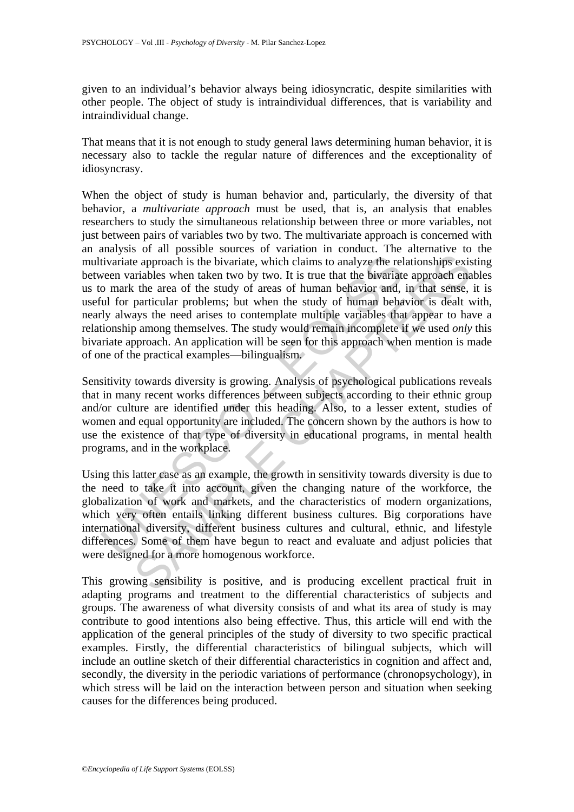given to an individual's behavior always being idiosyncratic, despite similarities with other people. The object of study is intraindividual differences, that is variability and intraindividual change.

That means that it is not enough to study general laws determining human behavior, it is necessary also to tackle the regular nature of differences and the exceptionality of idiosyncrasy.

tivariate approach is the bivariate, which claims to analyze the rel<br>veen variables when taken two by two. It is true that the bivariate<br>o mark the area of the study of areas of human behavior and,<br>id for particular proble e approach is the bivariate, which claims to analyze the relationships existinables when taken two by two. It is true that the bivariate approach era the avia of the surables when taken two by two. It is true that the biva When the object of study is human behavior and, particularly, the diversity of that behavior, a *multivariate approach* must be used, that is, an analysis that enables researchers to study the simultaneous relationship between three or more variables, not just between pairs of variables two by two. The multivariate approach is concerned with an analysis of all possible sources of variation in conduct. The alternative to the multivariate approach is the bivariate, which claims to analyze the relationships existing between variables when taken two by two. It is true that the bivariate approach enables us to mark the area of the study of areas of human behavior and, in that sense, it is useful for particular problems; but when the study of human behavior is dealt with, nearly always the need arises to contemplate multiple variables that appear to have a relationship among themselves. The study would remain incomplete if we used *only* this bivariate approach. An application will be seen for this approach when mention is made of one of the practical examples—bilingualism.

Sensitivity towards diversity is growing. Analysis of psychological publications reveals that in many recent works differences between subjects according to their ethnic group and/or culture are identified under this heading. Also, to a lesser extent, studies of women and equal opportunity are included. The concern shown by the authors is how to use the existence of that type of diversity in educational programs, in mental health programs, and in the workplace.

Using this latter case as an example, the growth in sensitivity towards diversity is due to the need to take it into account, given the changing nature of the workforce, the globalization of work and markets, and the characteristics of modern organizations, which very often entails linking different business cultures. Big corporations have international diversity, different business cultures and cultural, ethnic, and lifestyle differences. Some of them have begun to react and evaluate and adjust policies that were designed for a more homogenous workforce.

This growing sensibility is positive, and is producing excellent practical fruit in adapting programs and treatment to the differential characteristics of subjects and groups. The awareness of what diversity consists of and what its area of study is may contribute to good intentions also being effective. Thus, this article will end with the application of the general principles of the study of diversity to two specific practical examples. Firstly, the differential characteristics of bilingual subjects, which will include an outline sketch of their differential characteristics in cognition and affect and, secondly, the diversity in the periodic variations of performance (chronopsychology), in which stress will be laid on the interaction between person and situation when seeking causes for the differences being produced.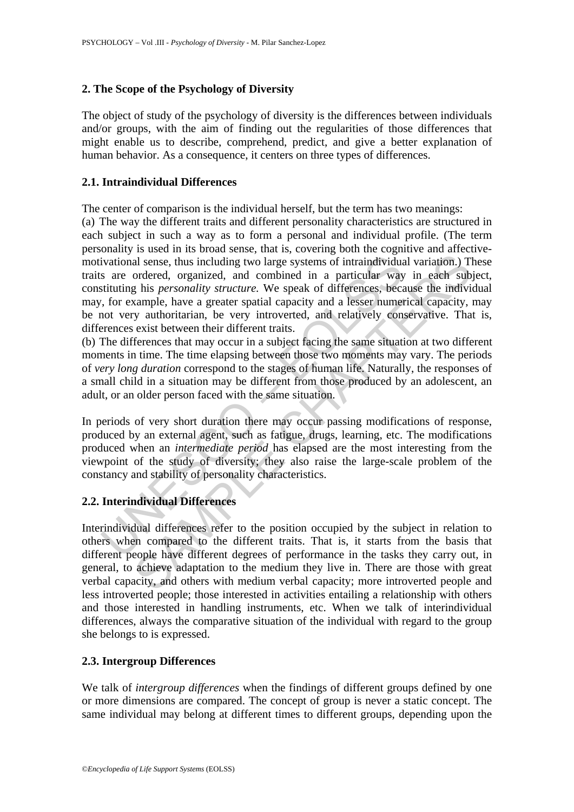# **2. The Scope of the Psychology of Diversity**

The object of study of the psychology of diversity is the differences between individuals and/or groups, with the aim of finding out the regularities of those differences that might enable us to describe, comprehend, predict, and give a better explanation of human behavior. As a consequence, it centers on three types of differences.

# **2.1. Intraindividual Differences**

The center of comparison is the individual herself, but the term has two meanings:

ivational sense, thus including two large systems of intraindividuals are ordered, organized, and combined in a particular way situating his *personality structure*. We speak of differences, because the convert value of ve and sense, thus including two large systems of intraindividual variation.) Tordered, organized, and combined in a particular way in each sub phis *presenabily structure*. We speak of differences, because the individual var (a) The way the different traits and different personality characteristics are structured in each subject in such a way as to form a personal and individual profile. (The term personality is used in its broad sense, that is, covering both the cognitive and affectivemotivational sense, thus including two large systems of intraindividual variation.) These traits are ordered, organized, and combined in a particular way in each subject, constituting his *personality structure.* We speak of differences, because the individual may, for example, have a greater spatial capacity and a lesser numerical capacity, may be not very authoritarian, be very introverted, and relatively conservative. That is, differences exist between their different traits.

(b) The differences that may occur in a subject facing the same situation at two different moments in time. The time elapsing between those two moments may vary. The periods of *very long duration* correspond to the stages of human life. Naturally, the responses of a small child in a situation may be different from those produced by an adolescent, an adult, or an older person faced with the same situation.

In periods of very short duration there may occur passing modifications of response, produced by an external agent, such as fatigue, drugs, learning, etc. The modifications produced when an *intermediate period* has elapsed are the most interesting from the viewpoint of the study of diversity; they also raise the large-scale problem of the constancy and stability of personality characteristics.

# **2.2. Interindividual Differences**

Interindividual differences refer to the position occupied by the subject in relation to others when compared to the different traits. That is, it starts from the basis that different people have different degrees of performance in the tasks they carry out, in general, to achieve adaptation to the medium they live in. There are those with great verbal capacity, and others with medium verbal capacity; more introverted people and less introverted people; those interested in activities entailing a relationship with others and those interested in handling instruments, etc. When we talk of interindividual differences, always the comparative situation of the individual with regard to the group she belongs to is expressed.

# **2.3. Intergroup Differences**

We talk of *intergroup differences* when the findings of different groups defined by one or more dimensions are compared. The concept of group is never a static concept. The same individual may belong at different times to different groups, depending upon the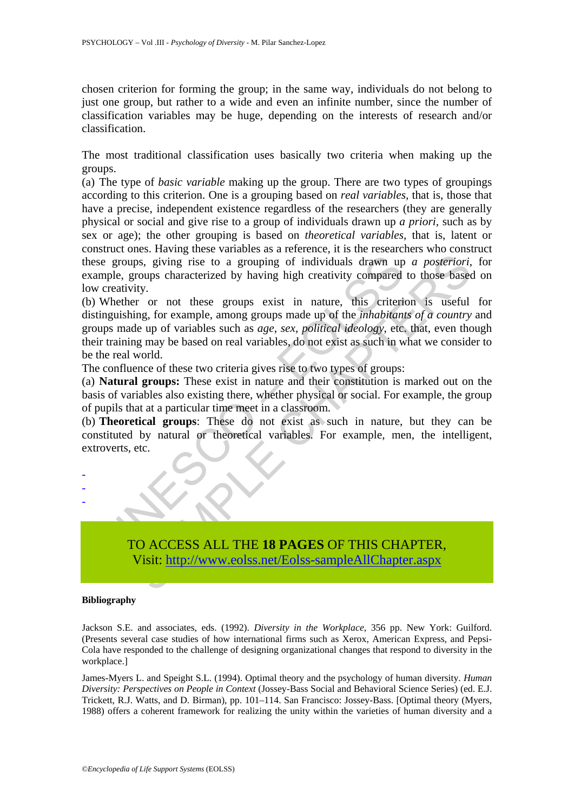chosen criterion for forming the group; in the same way, individuals do not belong to just one group, but rather to a wide and even an infinite number, since the number of classification variables may be huge, depending on the interests of research and/or classification.

The most traditional classification uses basically two criteria when making up the groups.

(a) The type of *basic variable* making up the group. There are two types of groupings according to this criterion. One is a grouping based on *real variables,* that is, those that have a precise, independent existence regardless of the researchers (they are generally physical or social and give rise to a group of individuals drawn up *a priori,* such as by sex or age); the other grouping is based on *theoretical variables,* that is, latent or construct ones. Having these variables as a reference, it is the researchers who construct these groups, giving rise to a grouping of individuals drawn up *a posteriori,* for example, groups characterized by having high creativity compared to those based on low creativity.

e groups, giving rise to a grouping of individuals drawn up<br>mple, groups characterized by having high creativity compared<br>creativity.<br>Whether or not these groups exist in nature, this criteri<br>inguishing, for example, among ps, giving rise to a grouping of individuals drawn up *a posteriori*,<br>roups characterized by having high creativity compared to those based<br>ity.<br>The consequence of the groups exist in nature, this criterion is useful<br>ing, (b) Whether or not these groups exist in nature, this criterion is useful for distinguishing, for example, among groups made up of the *inhabitants of a country* and groups made up of variables such as *age*, *sex*, *political ideology*, etc. that, even though their training may be based on real variables, do not exist as such in what we consider to be the real world.

The confluence of these two criteria gives rise to two types of groups:

(a) **Natural groups:** These exist in nature and their constitution is marked out on the basis of variables also existing there, whether physical or social. For example, the group of pupils that at a particular time meet in a classroom.

(b) **Theoretical groups**: These do not exist as such in nature, but they can be constituted by natural or theoretical variables. For example, men, the intelligent, extroverts, etc.



#### **Bibliography**

- - -

Jackson S.E. and associates, eds. (1992). *Diversity in the Workplace*, 356 pp. New York: Guilford. (Presents several case studies of how international firms such as Xerox, American Express, and Pepsi-Cola have responded to the challenge of designing organizational changes that respond to diversity in the workplace.]

James-Myers L. and Speight S.L. (1994). Optimal theory and the psychology of human diversity. *Human Diversity: Perspectives on People in Context* (Jossey-Bass Social and Behavioral Science Series) (ed. E.J. Trickett, R.J. Watts, and D. Birman), pp. 101–114. San Francisco: Jossey-Bass. [Optimal theory (Myers, 1988) offers a coherent framework for realizing the unity within the varieties of human diversity and a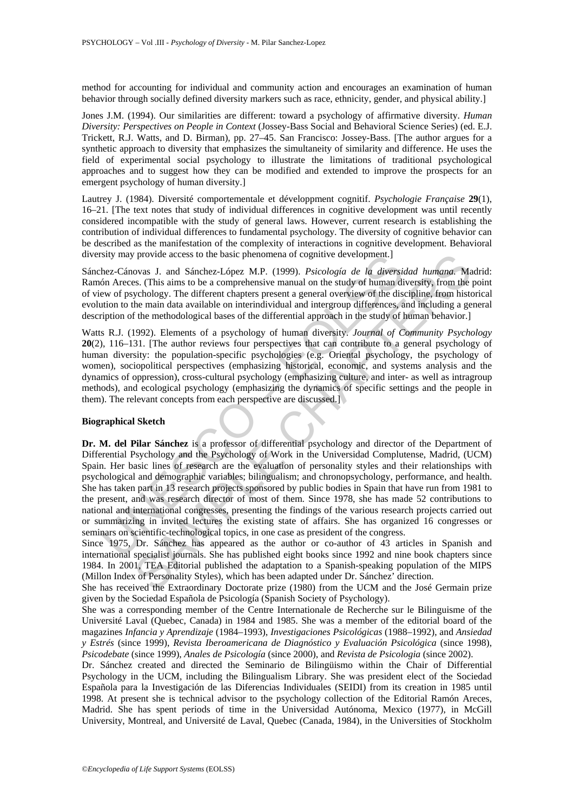method for accounting for individual and community action and encourages an examination of human behavior through socially defined diversity markers such as race, ethnicity, gender, and physical ability.]

Jones J.M. (1994). Our similarities are different: toward a psychology of affirmative diversity. *Human Diversity: Perspectives on People in Context* (Jossey-Bass Social and Behavioral Science Series) (ed. E.J. Trickett, R.J. Watts, and D. Birman), pp. 27–45. San Francisco: Jossey-Bass. [The author argues for a synthetic approach to diversity that emphasizes the simultaneity of similarity and difference. He uses the field of experimental social psychology to illustrate the limitations of traditional psychological approaches and to suggest how they can be modified and extended to improve the prospects for an emergent psychology of human diversity.]

Lautrey J. (1984). Diversité comportementale et développment cognitif. *Psychologie Française* **29**(1), 16–21. [The text notes that study of individual differences in cognitive development was until recently considered incompatible with the study of general laws. However, current research is establishing the contribution of individual differences to fundamental psychology. The diversity of cognitive behavior can be described as the manifestation of the complexity of interactions in cognitive development. Behavioral diversity may provide access to the basic phenomena of cognitive development.]

Sánchez-Cánovas J. and Sánchez-López M.P. (1999). *Psicología de la diversidad humana.* Madrid: Ramón Areces. (This aims to be a comprehensive manual on the study of human diversity, from the point of view of psychology. The different chapters present a general overview of the discipline, from historical evolution to the main data available on interindividual and intergroup differences, and including a general description of the methodological bases of the differential approach in the study of human behavior.]

Watts R.J. (1992). Elements of a psychology of human diversity. *Journal of Community Psychology*  **20**(2), 116–131. [The author reviews four perspectives that can contribute to a general psychology of human diversity: the population-specific psychologies (e.g. Oriental psychology, the psychology of women), sociopolitical perspectives (emphasizing historical, economic, and systems analysis and the dynamics of oppression), cross-cultural psychology (emphasizing culture, and inter- as well as intragroup methods), and ecological psychology (emphasizing the dynamics of specific settings and the people in them). The relevant concepts from each perspective are discussed.]

#### **Biographical Sketch**

sity may provide access to the basic phenomena of cognitive development.]<br>
her - Cánovas J. and Sánchez-López MP. (1999). *Psicología de la diversion*<br>
her Areces. (This aims to be a comprehensive manual on the study of hu provide access to the basic phenomena of cognitive development.]<br>
ovas J. and Sánchez-López M.P. (1999). *Psicologia de la diversione,*<br>
ovas J. This aims to be a comprehensive manual on the study of human diversity, from **Dr. M. del Pilar Sánchez** is a professor of differential psychology and director of the Department of Differential Psychology and the Psychology of Work in the Universidad Complutense, Madrid, (UCM) Spain. Her basic lines of research are the evaluation of personality styles and their relationships with psychological and demographic variables; bilingualism; and chronopsychology, performance, and health. She has taken part in 13 research projects sponsored by public bodies in Spain that have run from 1981 to the present, and was research director of most of them. Since 1978, she has made 52 contributions to national and international congresses, presenting the findings of the various research projects carried out or summarizing in invited lectures the existing state of affairs. She has organized 16 congresses or seminars on scientific-technological topics, in one case as president of the congress.

Since 1975, Dr. Sánchez has appeared as the author or co-author of 43 articles in Spanish and international specialist journals. She has published eight books since 1992 and nine book chapters since 1984. In 2001, TEA Editorial published the adaptation to a Spanish-speaking population of the MIPS (Millon Index of Personality Styles), which has been adapted under Dr. Sánchez' direction.

She has received the Extraordinary Doctorate prize (1980) from the UCM and the José Germain prize given by the Sociedad Española de Psicología (Spanish Society of Psychology).

She was a corresponding member of the Centre Internationale de Recherche sur le Bilinguisme of the Université Laval (Quebec, Canada) in 1984 and 1985. She was a member of the editorial board of the magazines *Infancia y Aprendizaje* (1984–1993), *Investigaciones Psicológicas* (1988–1992), and *Ansiedad y Estrés* (since 1999), *Revista Iberoamericana de Diagnóstico y Evaluación Psicológica* (since 1998), *Psicodebate* (since 1999), *Anales de Psicología* (since 2000), and *Revista de Psicologia* (since 2002).

Dr. Sánchez created and directed the Seminario de Bilingüismo within the Chair of Differential Psychology in the UCM, including the Bilingualism Library. She was president elect of the Sociedad Española para la Investigación de las Diferencias Individuales (SEIDI) from its creation in 1985 until 1998. At present she is technical advisor to the psychology collection of the Editorial Ramón Areces, Madrid. She has spent periods of time in the Universidad Autónoma, Mexico (1977), in McGill University, Montreal, and Université de Laval, Quebec (Canada, 1984), in the Universities of Stockholm